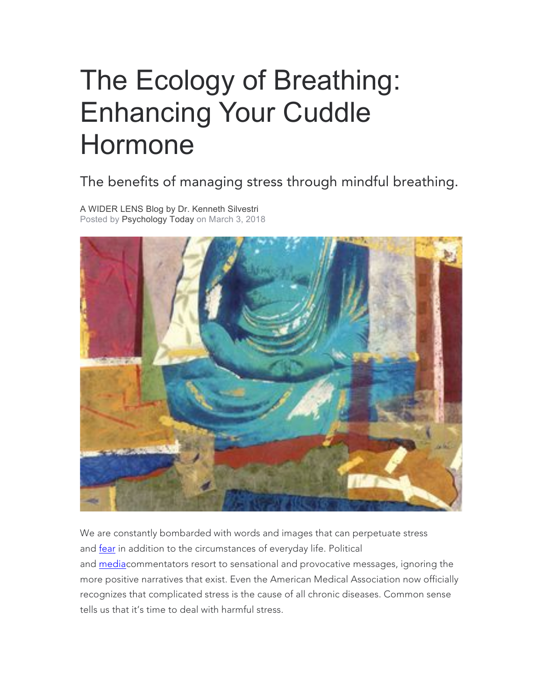# The Ecology of Breathing: Enhancing Your Cuddle Hormone

### The benefits of managing stress through mindful breathing.

A WIDER LENS Blog by Dr. Kenneth Silvestri Posted by Psychology Today on March 3, 2018



We are constantly bombarded with words and images that can perpetuate stress and fear in addition to the circumstances of everyday life. Political and mediacommentators resort to sensational and provocative messages, ignoring the more positive narratives that exist. Even the American Medical Association now officially recognizes that complicated stress is the cause of all chronic diseases. Common sense tells us that it's time to deal with harmful stress.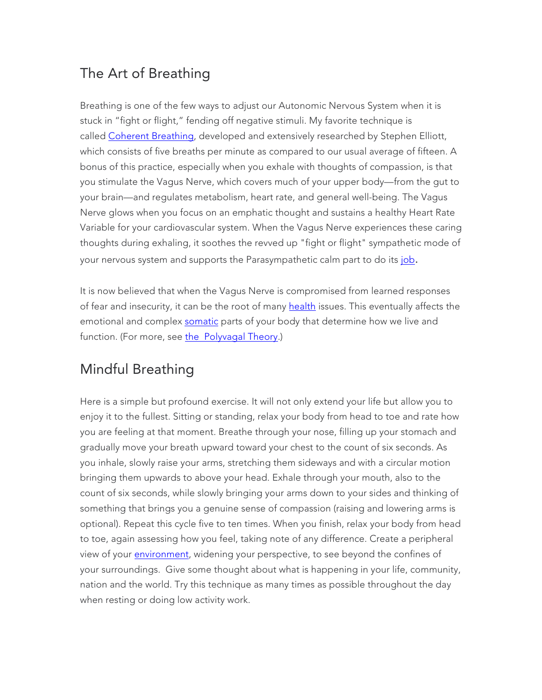#### The Art of Breathing

Breathing is one of the few ways to adjust our Autonomic Nervous System when it is stuck in "fight or flight," fending off negative stimuli. My favorite technique is called Coherent Breathing, developed and extensively researched by Stephen Elliott, which consists of five breaths per minute as compared to our usual average of fifteen. A bonus of this practice, especially when you exhale with thoughts of compassion, is that you stimulate the Vagus Nerve, which covers much of your upper body—from the gut to your brain—and regulates metabolism, heart rate, and general well-being. The Vagus Nerve glows when you focus on an emphatic thought and sustains a healthy Heart Rate Variable for your cardiovascular system. When the Vagus Nerve experiences these caring thoughts during exhaling, it soothes the revved up "fight or flight" sympathetic mode of your nervous system and supports the Parasympathetic calm part to do its job.

It is now believed that when the Vagus Nerve is compromised from learned responses of fear and insecurity, it can be the root of many health issues. This eventually affects the emotional and complex somatic parts of your body that determine how we live and function. (For more, see the Polyvagal Theory.)

## Mindful Breathing

Here is a simple but profound exercise. It will not only extend your life but allow you to enjoy it to the fullest. Sitting or standing, relax your body from head to toe and rate how you are feeling at that moment. Breathe through your nose, filling up your stomach and gradually move your breath upward toward your chest to the count of six seconds. As you inhale, slowly raise your arms, stretching them sideways and with a circular motion bringing them upwards to above your head. Exhale through your mouth, also to the count of six seconds, while slowly bringing your arms down to your sides and thinking of something that brings you a genuine sense of compassion (raising and lowering arms is optional). Repeat this cycle five to ten times. When you finish, relax your body from head to toe, again assessing how you feel, taking note of any difference. Create a peripheral view of your *environment*, widening your perspective, to see beyond the confines of your surroundings. Give some thought about what is happening in your life, community, nation and the world. Try this technique as many times as possible throughout the day when resting or doing low activity work.